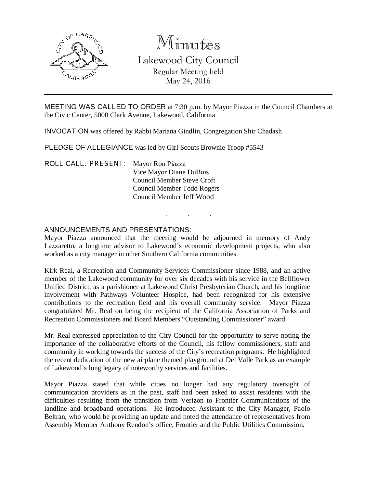

# Minutes

Lakewood City Council Regular Meeting held May 24, 2016

MEETING WAS CALLED TO ORDER at 7:30 p.m. by Mayor Piazza in the Council Chambers at the Civic Center, 5000 Clark Avenue, Lakewood, California.

INVOCATION was offered by Rabbi Mariana Gindlin, Congregation Shir Chadash

PLEDGE OF ALLEGIANCE was led by Girl Scouts Brownie Troop #5543

ROLL CALL: PRESENT: Mayor Ron Piazza Vice Mayor Diane DuBois Council Member Steve Croft Council Member Todd Rogers Council Member Jeff Wood

## ANNOUNCEMENTS AND PRESENTATIONS:

Mayor Piazza announced that the meeting would be adjourned in memory of Andy Lazzaretto, a longtime advisor to Lakewood's economic development projects, who also worked as a city manager in other Southern California communities.

. . .

Kirk Real, a Recreation and Community Services Commissioner since 1988, and an active member of the Lakewood community for over six decades with his service in the Bellflower Unified District, as a parishioner at Lakewood Christ Presbyterian Church, and his longtime involvement with Pathways Volunteer Hospice, had been recognized for his extensive contributions to the recreation field and his overall community service. Mayor Piazza congratulated Mr. Real on being the recipient of the California Association of Parks and Recreation Commissioners and Board Members "Outstanding Commissioner" award.

Mr. Real expressed appreciation to the City Council for the opportunity to serve noting the importance of the collaborative efforts of the Council, his fellow commissioners, staff and community in working towards the success of the City's recreation programs. He highlighted the recent dedication of the new airplane themed playground at Del Valle Park as an example of Lakewood's long legacy of noteworthy services and facilities.

Mayor Piazza stated that while cities no longer had any regulatory oversight of communication providers as in the past, staff had been asked to assist residents with the difficulties resulting from the transition from Verizon to Frontier Communications of the landline and broadband operations. He introduced Assistant to the City Manager, Paolo Beltran, who would be providing an update and noted the attendance of representatives from Assembly Member Anthony Rendon's office, Frontier and the Public Utilities Commission.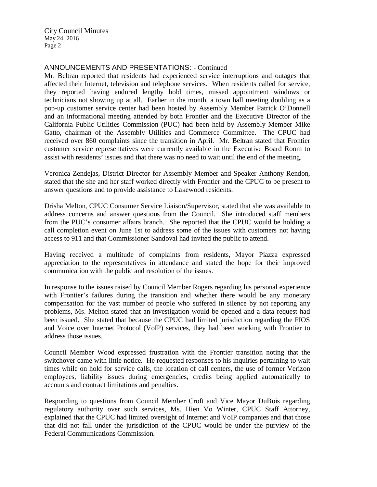## ANNOUNCEMENTS AND PRESENTATIONS: - Continued

Mr. Beltran reported that residents had experienced service interruptions and outages that affected their Internet, television and telephone services. When residents called for service, they reported having endured lengthy hold times, missed appointment windows or technicians not showing up at all. Earlier in the month, a town hall meeting doubling as a pop-up customer service center had been hosted by Assembly Member Patrick O'Donnell and an informational meeting attended by both Frontier and the Executive Director of the California Public Utilities Commission (PUC) had been held by Assembly Member Mike Gatto, chairman of the Assembly Utilities and Commerce Committee. The CPUC had received over 860 complaints since the transition in April. Mr. Beltran stated that Frontier customer service representatives were currently available in the Executive Board Room to assist with residents' issues and that there was no need to wait until the end of the meeting.

Veronica Zendejas, District Director for Assembly Member and Speaker Anthony Rendon, stated that the she and her staff worked directly with Frontier and the CPUC to be present to answer questions and to provide assistance to Lakewood residents.

Drisha Melton, CPUC Consumer Service Liaison/Supervisor, stated that she was available to address concerns and answer questions from the Council. She introduced staff members from the PUC's consumer affairs branch. She reported that the CPUC would be holding a call completion event on June 1st to address some of the issues with customers not having access to 911 and that Commissioner Sandoval had invited the public to attend.

Having received a multitude of complaints from residents, Mayor Piazza expressed appreciation to the representatives in attendance and stated the hope for their improved communication with the public and resolution of the issues.

In response to the issues raised by Council Member Rogers regarding his personal experience with Frontier's failures during the transition and whether there would be any monetary compensation for the vast number of people who suffered in silence by not reporting any problems, Ms. Melton stated that an investigation would be opened and a data request had been issued. She stated that because the CPUC had limited jurisdiction regarding the FIOS and Voice over Internet Protocol (VoIP) services, they had been working with Frontier to address those issues.

Council Member Wood expressed frustration with the Frontier transition noting that the switchover came with little notice. He requested responses to his inquiries pertaining to wait times while on hold for service calls, the location of call centers, the use of former Verizon employees, liability issues during emergencies, credits being applied automatically to accounts and contract limitations and penalties.

Responding to questions from Council Member Croft and Vice Mayor DuBois regarding regulatory authority over such services, Ms. Hien Vo Winter, CPUC Staff Attorney, explained that the CPUC had limited oversight of Internet and VoIP companies and that those that did not fall under the jurisdiction of the CPUC would be under the purview of the Federal Communications Commission.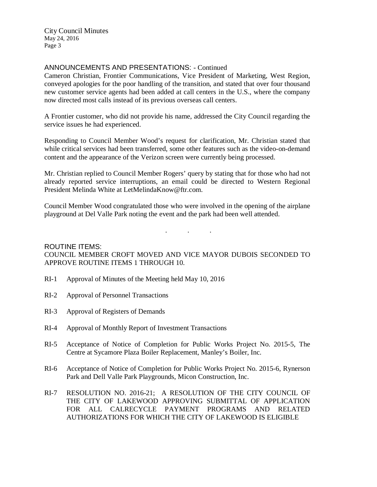## ANNOUNCEMENTS AND PRESENTATIONS: - Continued

Cameron Christian, Frontier Communications, Vice President of Marketing, West Region, conveyed apologies for the poor handling of the transition, and stated that over four thousand new customer service agents had been added at call centers in the U.S., where the company now directed most calls instead of its previous overseas call centers.

A Frontier customer, who did not provide his name, addressed the City Council regarding the service issues he had experienced.

Responding to Council Member Wood's request for clarification, Mr. Christian stated that while critical services had been transferred, some other features such as the video-on-demand content and the appearance of the Verizon screen were currently being processed.

Mr. Christian replied to Council Member Rogers' query by stating that for those who had not already reported service interruptions, an email could be directed to Western Regional President Melinda White at LetMelindaKnow@ftr.com.

Council Member Wood congratulated those who were involved in the opening of the airplane playground at Del Valle Park noting the event and the park had been well attended.

. . .

## ROUTINE ITEMS: COUNCIL MEMBER CROFT MOVED AND VICE MAYOR DUBOIS SECONDED TO APPROVE ROUTINE ITEMS 1 THROUGH 10.

- RI-1 Approval of Minutes of the Meeting held May 10, 2016
- RI-2 Approval of Personnel Transactions
- RI-3 Approval of Registers of Demands
- RI-4 Approval of Monthly Report of Investment Transactions
- RI-5 Acceptance of Notice of Completion for Public Works Project No. 2015-5, The Centre at Sycamore Plaza Boiler Replacement, Manley's Boiler, Inc.
- RI-6 Acceptance of Notice of Completion for Public Works Project No. 2015-6, Rynerson Park and Dell Valle Park Playgrounds, Micon Construction, Inc.
- RI-7 RESOLUTION NO. 2016-21; A RESOLUTION OF THE CITY COUNCIL OF THE CITY OF LAKEWOOD APPROVING SUBMITTAL OF APPLICATION FOR ALL CALRECYCLE PAYMENT PROGRAMS AND RELATED AUTHORIZATIONS FOR WHICH THE CITY OF LAKEWOOD IS ELIGIBLE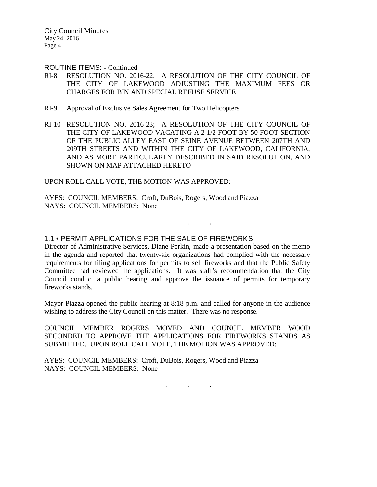#### ROUTINE ITEMS: - Continued

- RI-8 RESOLUTION NO. 2016-22; A RESOLUTION OF THE CITY COUNCIL OF THE CITY OF LAKEWOOD ADJUSTING THE MAXIMUM FEES OR CHARGES FOR BIN AND SPECIAL REFUSE SERVICE
- RI-9 Approval of Exclusive Sales Agreement for Two Helicopters
- RI-10 RESOLUTION NO. 2016-23; A RESOLUTION OF THE CITY COUNCIL OF THE CITY OF LAKEWOOD VACATING A 2 1/2 FOOT BY 50 FOOT SECTION OF THE PUBLIC ALLEY EAST OF SEINE AVENUE BETWEEN 207TH AND 209TH STREETS AND WITHIN THE CITY OF LAKEWOOD, CALIFORNIA, AND AS MORE PARTICULARLY DESCRIBED IN SAID RESOLUTION, AND SHOWN ON MAP ATTACHED HERETO

#### UPON ROLL CALL VOTE, THE MOTION WAS APPROVED:

AYES: COUNCIL MEMBERS: Croft, DuBois, Rogers, Wood and Piazza NAYS: COUNCIL MEMBERS: None

## 1.1 • PERMIT APPLICATIONS FOR THE SALE OF FIREWORKS

Director of Administrative Services, Diane Perkin, made a presentation based on the memo in the agenda and reported that twenty-six organizations had complied with the necessary requirements for filing applications for permits to sell fireworks and that the Public Safety Committee had reviewed the applications. It was staff's recommendation that the City Council conduct a public hearing and approve the issuance of permits for temporary fireworks stands.

 $\mathbf{r}$  .  $\mathbf{r}$  ,  $\mathbf{r}$  ,  $\mathbf{r}$  ,  $\mathbf{r}$  ,  $\mathbf{r}$  ,  $\mathbf{r}$ 

Mayor Piazza opened the public hearing at 8:18 p.m. and called for anyone in the audience wishing to address the City Council on this matter. There was no response.

COUNCIL MEMBER ROGERS MOVED AND COUNCIL MEMBER WOOD SECONDED TO APPROVE THE APPLICATIONS FOR FIREWORKS STANDS AS SUBMITTED. UPON ROLL CALL VOTE, THE MOTION WAS APPROVED:

. . .

AYES: COUNCIL MEMBERS: Croft, DuBois, Rogers, Wood and Piazza NAYS: COUNCIL MEMBERS: None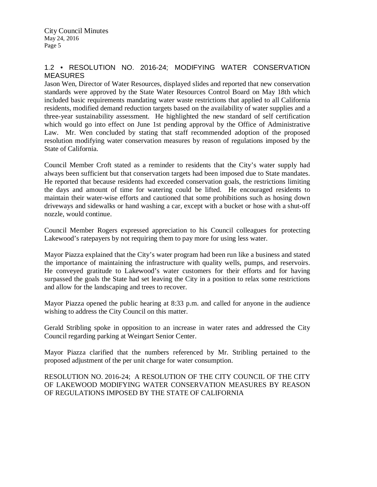## 1.2 • RESOLUTION NO. 2016-24; MODIFYING WATER CONSERVATION **MEASURES**

Jason Wen, Director of Water Resources, displayed slides and reported that new conservation standards were approved by the State Water Resources Control Board on May 18th which included basic requirements mandating water waste restrictions that applied to all California residents, modified demand reduction targets based on the availability of water supplies and a three-year sustainability assessment. He highlighted the new standard of self certification which would go into effect on June 1st pending approval by the Office of Administrative Law. Mr. Wen concluded by stating that staff recommended adoption of the proposed resolution modifying water conservation measures by reason of regulations imposed by the State of California.

Council Member Croft stated as a reminder to residents that the City's water supply had always been sufficient but that conservation targets had been imposed due to State mandates. He reported that because residents had exceeded conservation goals, the restrictions limiting the days and amount of time for watering could be lifted. He encouraged residents to maintain their water-wise efforts and cautioned that some prohibitions such as hosing down driveways and sidewalks or hand washing a car, except with a bucket or hose with a shut-off nozzle, would continue.

Council Member Rogers expressed appreciation to his Council colleagues for protecting Lakewood's ratepayers by not requiring them to pay more for using less water.

Mayor Piazza explained that the City's water program had been run like a business and stated the importance of maintaining the infrastructure with quality wells, pumps, and reservoirs. He conveyed gratitude to Lakewood's water customers for their efforts and for having surpassed the goals the State had set leaving the City in a position to relax some restrictions and allow for the landscaping and trees to recover.

Mayor Piazza opened the public hearing at 8:33 p.m. and called for anyone in the audience wishing to address the City Council on this matter.

Gerald Stribling spoke in opposition to an increase in water rates and addressed the City Council regarding parking at Weingart Senior Center.

Mayor Piazza clarified that the numbers referenced by Mr. Stribling pertained to the proposed adjustment of the per unit charge for water consumption.

RESOLUTION NO. 2016-24; A RESOLUTION OF THE CITY COUNCIL OF THE CITY OF LAKEWOOD MODIFYING WATER CONSERVATION MEASURES BY REASON OF REGULATIONS IMPOSED BY THE STATE OF CALIFORNIA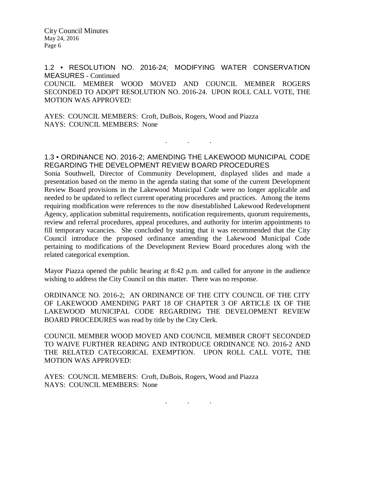1.2 • RESOLUTION NO. 2016-24; MODIFYING WATER CONSERVATION MEASURES - Continued COUNCIL MEMBER WOOD MOVED AND COUNCIL MEMBER ROGERS SECONDED TO ADOPT RESOLUTION NO. 2016-24. UPON ROLL CALL VOTE, THE MOTION WAS APPROVED:

AYES: COUNCIL MEMBERS: Croft, DuBois, Rogers, Wood and Piazza NAYS: COUNCIL MEMBERS: None

### 1.3 • ORDINANCE NO. 2016-2; AMENDING THE LAKEWOOD MUNICIPAL CODE REGARDING THE DEVELOPMENT REVIEW BOARD PROCEDURES

. . .

Sonia Southwell, Director of Community Development, displayed slides and made a presentation based on the memo in the agenda stating that some of the current Development Review Board provisions in the Lakewood Municipal Code were no longer applicable and needed to be updated to reflect current operating procedures and practices. Among the items requiring modification were references to the now disestablished Lakewood Redevelopment Agency, application submittal requirements, notification requirements, quorum requirements, review and referral procedures, appeal procedures, and authority for interim appointments to fill temporary vacancies. She concluded by stating that it was recommended that the City Council introduce the proposed ordinance amending the Lakewood Municipal Code pertaining to modifications of the Development Review Board procedures along with the related categorical exemption.

Mayor Piazza opened the public hearing at 8:42 p.m. and called for anyone in the audience wishing to address the City Council on this matter. There was no response.

ORDINANCE NO. 2016-2; AN ORDINANCE OF THE CITY COUNCIL OF THE CITY OF LAKEWOOD AMENDING PART 18 OF CHAPTER 3 OF ARTICLE IX OF THE LAKEWOOD MUNICIPAL CODE REGARDING THE DEVELOPMENT REVIEW BOARD PROCEDURES was read by title by the City Clerk.

COUNCIL MEMBER WOOD MOVED AND COUNCIL MEMBER CROFT SECONDED TO WAIVE FURTHER READING AND INTRODUCE ORDINANCE NO. 2016-2 AND THE RELATED CATEGORICAL EXEMPTION. UPON ROLL CALL VOTE, THE MOTION WAS APPROVED:

AYES: COUNCIL MEMBERS: Croft, DuBois, Rogers, Wood and Piazza NAYS: COUNCIL MEMBERS: None

. . .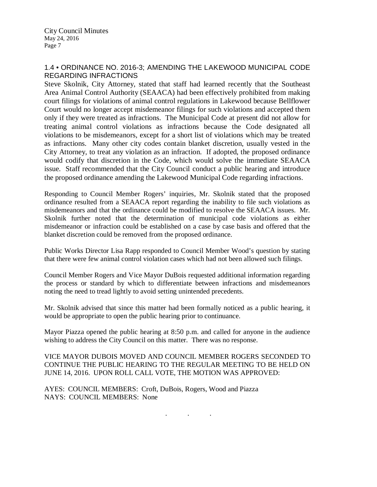## 1.4 • ORDINANCE NO. 2016-3; AMENDING THE LAKEWOOD MUNICIPAL CODE REGARDING INFRACTIONS

Steve Skolnik, City Attorney, stated that staff had learned recently that the Southeast Area Animal Control Authority (SEAACA) had been effectively prohibited from making court filings for violations of animal control regulations in Lakewood because Bellflower Court would no longer accept misdemeanor filings for such violations and accepted them only if they were treated as infractions. The Municipal Code at present did not allow for treating animal control violations as infractions because the Code designated all violations to be misdemeanors, except for a short list of violations which may be treated as infractions. Many other city codes contain blanket discretion, usually vested in the City Attorney, to treat any violation as an infraction. If adopted, the proposed ordinance would codify that discretion in the Code, which would solve the immediate SEAACA issue. Staff recommended that the City Council conduct a public hearing and introduce the proposed ordinance amending the Lakewood Municipal Code regarding infractions.

Responding to Council Member Rogers' inquiries, Mr. Skolnik stated that the proposed ordinance resulted from a SEAACA report regarding the inability to file such violations as misdemeanors and that the ordinance could be modified to resolve the SEAACA issues. Mr. Skolnik further noted that the determination of municipal code violations as either misdemeanor or infraction could be established on a case by case basis and offered that the blanket discretion could be removed from the proposed ordinance.

Public Works Director Lisa Rapp responded to Council Member Wood's question by stating that there were few animal control violation cases which had not been allowed such filings.

Council Member Rogers and Vice Mayor DuBois requested additional information regarding the process or standard by which to differentiate between infractions and misdemeanors noting the need to tread lightly to avoid setting unintended precedents.

Mr. Skolnik advised that since this matter had been formally noticed as a public hearing, it would be appropriate to open the public hearing prior to continuance.

Mayor Piazza opened the public hearing at 8:50 p.m. and called for anyone in the audience wishing to address the City Council on this matter. There was no response.

VICE MAYOR DUBOIS MOVED AND COUNCIL MEMBER ROGERS SECONDED TO CONTINUE THE PUBLIC HEARING TO THE REGULAR MEETING TO BE HELD ON JUNE 14, 2016. UPON ROLL CALL VOTE, THE MOTION WAS APPROVED:

AYES: COUNCIL MEMBERS: Croft, DuBois, Rogers, Wood and Piazza NAYS: COUNCIL MEMBERS: None

. . .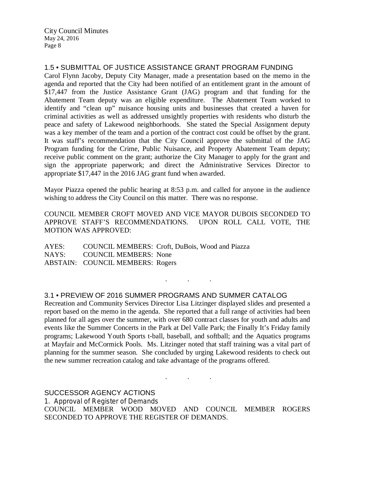1.5 • SUBMITTAL OF JUSTICE ASSISTANCE GRANT PROGRAM FUNDING

Carol Flynn Jacoby, Deputy City Manager, made a presentation based on the memo in the agenda and reported that the City had been notified of an entitlement grant in the amount of \$17,447 from the Justice Assistance Grant (JAG) program and that funding for the Abatement Team deputy was an eligible expenditure. The Abatement Team worked to identify and "clean up" nuisance housing units and businesses that created a haven for criminal activities as well as addressed unsightly properties with residents who disturb the peace and safety of Lakewood neighborhoods. She stated the Special Assignment deputy was a key member of the team and a portion of the contract cost could be offset by the grant. It was staff's recommendation that the City Council approve the submittal of the JAG Program funding for the Crime, Public Nuisance, and Property Abatement Team deputy; receive public comment on the grant; authorize the City Manager to apply for the grant and sign the appropriate paperwork; and direct the Administrative Services Director to appropriate \$17,447 in the 2016 JAG grant fund when awarded.

Mayor Piazza opened the public hearing at 8:53 p.m. and called for anyone in the audience wishing to address the City Council on this matter. There was no response.

COUNCIL MEMBER CROFT MOVED AND VICE MAYOR DUBOIS SECONDED TO APPROVE STAFF'S RECOMMENDATIONS. UPON ROLL CALL VOTE, THE MOTION WAS APPROVED:

AYES: COUNCIL MEMBERS: Croft, DuBois, Wood and Piazza NAYS: COUNCIL MEMBERS: None ABSTAIN: COUNCIL MEMBERS: Rogers

3.1 • PREVIEW OF 2016 SUMMER PROGRAMS AND SUMMER CATALOG

Recreation and Community Services Director Lisa Litzinger displayed slides and presented a report based on the memo in the agenda. She reported that a full range of activities had been planned for all ages over the summer, with over 680 contract classes for youth and adults and events like the Summer Concerts in the Park at Del Valle Park; the Finally It's Friday family programs; Lakewood Youth Sports t-ball, baseball, and softball; and the Aquatics programs at Mayfair and McCormick Pools. Ms. Litzinger noted that staff training was a vital part of planning for the summer season. She concluded by urging Lakewood residents to check out the new summer recreation catalog and take advantage of the programs offered.

. . .

SUCCESSOR AGENCY ACTIONS 1. Approval of Register of Demands COUNCIL MEMBER WOOD MOVED AND COUNCIL MEMBER ROGERS SECONDED TO APPROVE THE REGISTER OF DEMANDS.

. . .